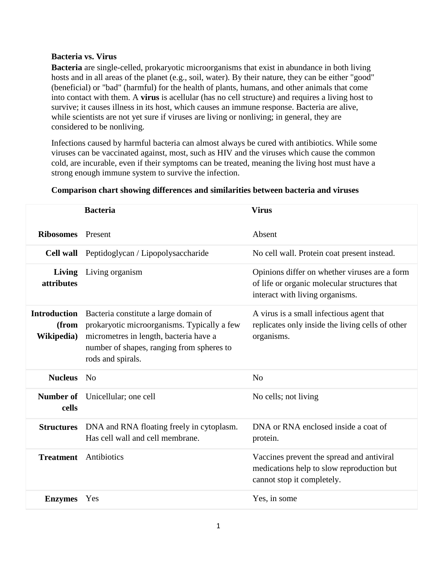## **Bacteria vs. Virus**

**Bacteria** are single-celled, prokaryotic microorganisms that exist in abundance in both living hosts and in all areas of the planet (e.g., soil, water). By their nature, they can be either "good" (beneficial) or "bad" (harmful) for the health of plants, humans, and other animals that come into contact with them. A **virus** is acellular (has no cell structure) and requires a living host to survive; it causes illness in its host, which causes an immune response. Bacteria are alive, while scientists are not yet sure if viruses are living or nonliving; in general, they are considered to be nonliving.

Infections caused by harmful bacteria can almost always be cured with antibiotics. While some viruses can be vaccinated against, most, such as HIV and the viruses which cause the common cold, are incurable, even if their symptoms can be treated, meaning the living host must have a strong enough immune system to survive the infection.

|                                            | <b>Bacteria</b>                                                                                                                                                                                  | <b>Virus</b>                                                                                                                     |
|--------------------------------------------|--------------------------------------------------------------------------------------------------------------------------------------------------------------------------------------------------|----------------------------------------------------------------------------------------------------------------------------------|
| <b>Ribosomes</b>                           | Present                                                                                                                                                                                          | Absent                                                                                                                           |
|                                            | Cell wall Peptidoglycan / Lipopolysaccharide                                                                                                                                                     | No cell wall. Protein coat present instead.                                                                                      |
| Living<br>attributes                       | Living organism                                                                                                                                                                                  | Opinions differ on whether viruses are a form<br>of life or organic molecular structures that<br>interact with living organisms. |
| <b>Introduction</b><br>(from<br>Wikipedia) | Bacteria constitute a large domain of<br>prokaryotic microorganisms. Typically a few<br>micrometres in length, bacteria have a<br>number of shapes, ranging from spheres to<br>rods and spirals. | A virus is a small infectious agent that<br>replicates only inside the living cells of other<br>organisms.                       |
| <b>Nucleus</b> No                          |                                                                                                                                                                                                  | N <sub>o</sub>                                                                                                                   |
| cells                                      | <b>Number of</b> Unicellular; one cell                                                                                                                                                           | No cells; not living                                                                                                             |
| <b>Structures</b>                          | DNA and RNA floating freely in cytoplasm.<br>Has cell wall and cell membrane.                                                                                                                    | DNA or RNA enclosed inside a coat of<br>protein.                                                                                 |
| <b>Treatment</b>                           | Antibiotics                                                                                                                                                                                      | Vaccines prevent the spread and antiviral<br>medications help to slow reproduction but<br>cannot stop it completely.             |
| <b>Enzymes</b>                             | Yes                                                                                                                                                                                              | Yes, in some                                                                                                                     |

## **Comparison chart showing differences and similarities between bacteria and viruses**